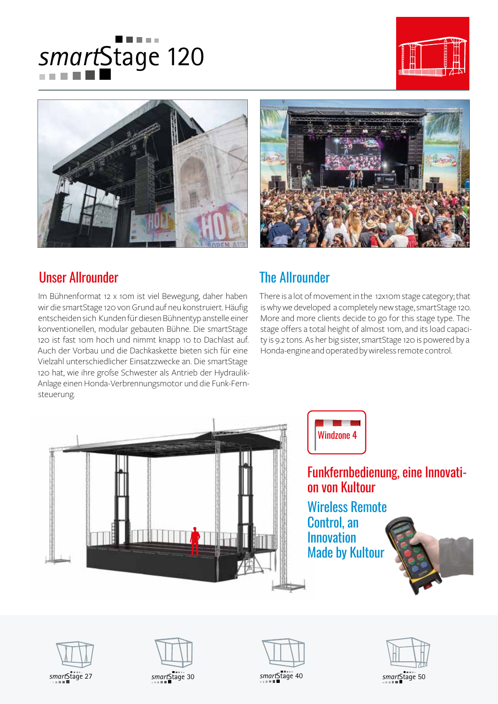# *smart*Stage 120







## Unser Allrounder

Im Bühnenformat 12 x 10m ist viel Bewegung, daher haben wir die smartStage 120 von Grund auf neu konstruiert. Häufig entscheiden sich Kunden für diesen Bühnentyp anstelle einer konventionellen, modular gebauten Bühne. Die smartStage 120 ist fast 10m hoch und nimmt knapp 10 to Dachlast auf. Auch der Vorbau und die Dachkaskette bieten sich für eine Vielzahl unterschiedlicher Einsatzzwecke an. Die smartStage 120 hat, wie ihre große Schwester als Antrieb der Hydraulik-Anlage einen Honda-Verbrennungsmotor und die Funk-Fernsteuerung.

## The Allrounder

There is a lot of movement in the 12x10m stage category; that is why we developed a completely new stage, smartStage 120. More and more clients decide to go for this stage type. The stage offers a total height of almost 10m, and its load capacity is 9.2 tons. As her big sister, smartStage 120 is powered by a Honda-engine and operated by wireless remote control.





Funkfernbedienung, eine Innovation von Kultour

Wireless Remote Control, an Innovation Made by Kultour